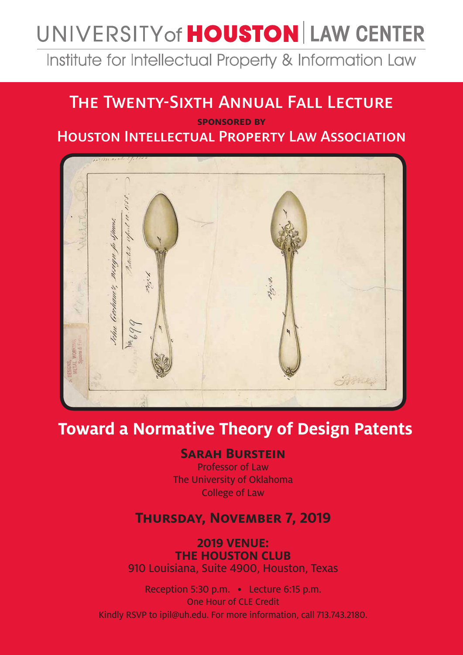# UNIVERSITY of **HOUSTON** LAW CENTER

Institute for Intellectual Property & Information Law

## The Twenty-Sixth Annual Fall Lecture

**sponsored by** Houston Intellectual Property Law Association



## **Toward a Normative Theory of Design Patents**

#### **Sarah Burstein**

Professor of Law The University of Oklahoma College of Law

#### **Thursday, November 7, 2019**

**2019 VENUE: THE HOUSTON CLUB** 910 Louisiana, Suite 4900, Houston, Texas

Reception 5:30 p.m. • Lecture 6:15 p.m. One Hour of CLE Credit Kindly RSVP to ipil@uh.edu. For more information, call 713.743.2180.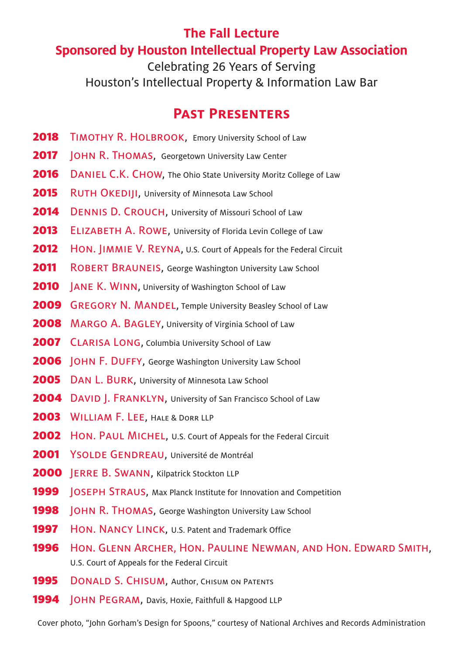### **The Fall Lecture Sponsored by Houston Intellectual Property Law Association**

Celebrating 26 Years of Serving Houston's Intellectual Property & Information Law Bar

### **Past Presenters**

- 2018 TIMOTHY R. HOLBROOK, Emory University School of Law
- **2017** JOHN R. THOMAS, Georgetown University Law Center
- 2016 DANIEL C.K. CHOW, The Ohio State University Moritz College of Law
- 2015 RUTH OKEDIJI, University of Minnesota Law School
- 2014 DENNIS D. CROUCH, University of Missouri School of Law
- 2013 ELIZABETH A. ROWE, University of Florida Levin College of Law
- **2012** HON. JIMMIE V. REYNA, U.S. Court of Appeals for the Federal Circuit
- **2011** ROBERT BRAUNEIS, George Washington University Law School
- **2010** JANE K. WINN, University of Washington School of Law
- 2009 GREGORY N. MANDEL, Temple University Beasley School of Law
- 2008 MARGO A. BAGLEY, University of Virginia School of Law
- 2007 CLARISA LONG, Columbia University School of Law
- 2006 | OHN F. DUFFY, George Washington University Law School
- 2005 DAN L. BURK, University of Minnesota Law School
- 2004 DAVID | FRANKLYN, University of San Francisco School of Law
- 2003 WILLIAM F. LEE, HALE & DORR LLP
- **2002** HON. PAUL MICHEL, U.S. Court of Appeals for the Federal Circuit
- 2001 YSOLDE GENDREAU, Université de Montréal
- 2000 **JERRE B. SWANN, Kilpatrick Stockton LLP**
- 1999 | OSEPH STRAUS, Max Planck Institute for Innovation and Competition
- 1998 | OHN R. THOMAS, George Washington University Law School
- 1997 HON. NANCY LINCK, U.S. Patent and Trademark Office
- 1996 Hon. GLENN ARCHER, HON. PAULINE NEWMAN, AND HON. EDWARD SMITH, U.S. Court of Appeals for the Federal Circuit
- **1995** DONALD S. CHISUM, Author, CHISUM ON PATENTS
- **1994 JOHN PEGRAM, Davis, Hoxie, Faithfull & Hapgood LLP**

Cover photo, "John Gorham's Design for Spoons," courtesy of National Archives and Records Administration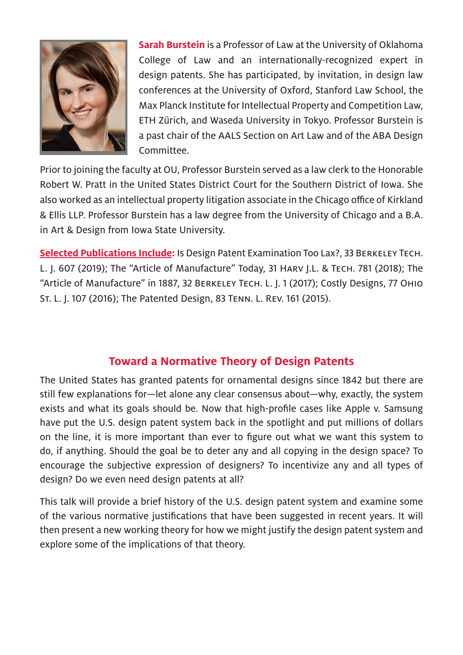

**Sarah Burstein** is a Professor of Law at the University of Oklahoma College of Law and an internationally-recognized expert in design patents. She has participated, by invitation, in design law conferences at the University of Oxford, Stanford Law School, the Max Planck Institute for Intellectual Property and Competition Law, ETH Zürich, and Waseda University in Tokyo. Professor Burstein is a past chair of the AALS Section on Art Law and of the ABA Design Committee.

Prior to joining the faculty at OU, Professor Burstein served as a law clerk to the Honorable Robert W. Pratt in the United States District Court for the Southern District of Iowa. She also worked as an intellectual property litigation associate in the Chicago office of Kirkland & Ellis LLP. Professor Burstein has a law degree from the University of Chicago and a B.A. in Art & Design from Iowa State University.

**Selected Publications Include:** Is Design Patent Examination Too Lax?, 33 Berkeley Tech. L. J. 607 (2019); The "Article of Manufacture" Today, 31 Harv J.L. & Tech. 781 (2018); The "Article of Manufacture" in 1887, 32 Berkeley Tech. L. J. 1 (2017); Costly Designs, 77 Ohio St. L. J. 107 (2016); The Patented Design, 83 Tenn. L. Rev. 161 (2015).

#### **Toward a Normative Theory of Design Patents**

The United States has granted patents for ornamental designs since 1842 but there are still few explanations for—let alone any clear consensus about—why, exactly, the system exists and what its goals should be. Now that high-profile cases like Apple v. Samsung have put the U.S. design patent system back in the spotlight and put millions of dollars on the line, it is more important than ever to figure out what we want this system to do, if anything. Should the goal be to deter any and all copying in the design space? To encourage the subjective expression of designers? To incentivize any and all types of design? Do we even need design patents at all?

This talk will provide a brief history of the U.S. design patent system and examine some of the various normative justifications that have been suggested in recent years. It will then present a new working theory for how we might justify the design patent system and explore some of the implications of that theory.